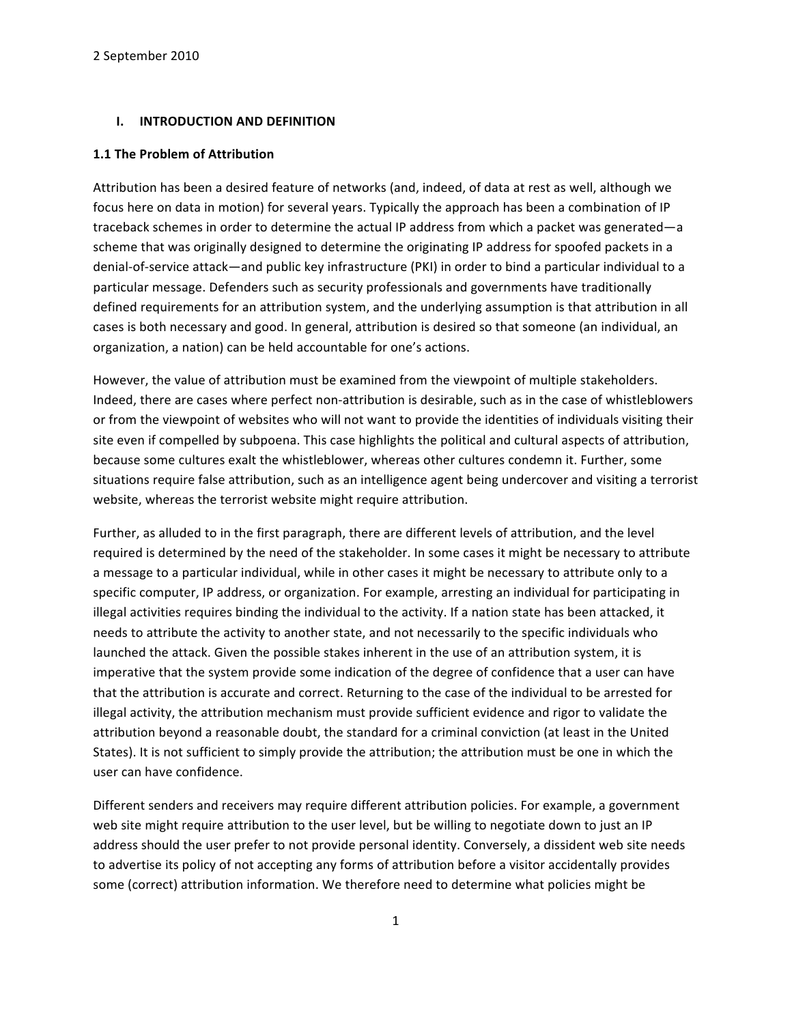#### **I. INTRODUCTION AND DEFINITION**

#### **1.1 The Problem of Attribution**

Attribution has been a desired feature of networks (and, indeed, of data at rest as well, although we focus here on data in motion) for several years. Typically the approach has been a combination of IP traceback schemes in order to determine the actual IP address from which a packet was generated—a scheme that was originally designed to determine the originating IP address for spoofed packets in a denial-of-service attack—and public key infrastructure (PKI) in order to bind a particular individual to a particular message. Defenders such as security professionals and governments have traditionally defined requirements for an attribution system, and the underlying assumption is that attribution in all cases is both necessary and good. In general, attribution is desired so that someone (an individual, an organization, a nation) can be held accountable for one's actions.

However, the value of attribution must be examined from the viewpoint of multiple stakeholders. Indeed, there are cases where perfect non-attribution is desirable, such as in the case of whistleblowers or from the viewpoint of websites who will not want to provide the identities of individuals visiting their site even if compelled by subpoena. This case highlights the political and cultural aspects of attribution, because some cultures exalt the whistleblower, whereas other cultures condemn it. Further, some situations require false attribution, such as an intelligence agent being undercover and visiting a terrorist website, whereas the terrorist website might require attribution.

Further, as alluded to in the first paragraph, there are different levels of attribution, and the level required is determined by the need of the stakeholder. In some cases it might be necessary to attribute a message to a particular individual, while in other cases it might be necessary to attribute only to a specific computer, IP address, or organization. For example, arresting an individual for participating in illegal activities requires binding the individual to the activity. If a nation state has been attacked, it needs to attribute the activity to another state, and not necessarily to the specific individuals who launched the attack. Given the possible stakes inherent in the use of an attribution system, it is imperative that the system provide some indication of the degree of confidence that a user can have that the attribution is accurate and correct. Returning to the case of the individual to be arrested for illegal activity, the attribution mechanism must provide sufficient evidence and rigor to validate the attribution beyond a reasonable doubt, the standard for a criminal conviction (at least in the United States). It is not sufficient to simply provide the attribution; the attribution must be one in which the user can have confidence.

Different senders and receivers may require different attribution policies. For example, a government web site might require attribution to the user level, but be willing to negotiate down to just an IP address should the user prefer to not provide personal identity. Conversely, a dissident web site needs to advertise its policy of not accepting any forms of attribution before a visitor accidentally provides some (correct) attribution information. We therefore need to determine what policies might be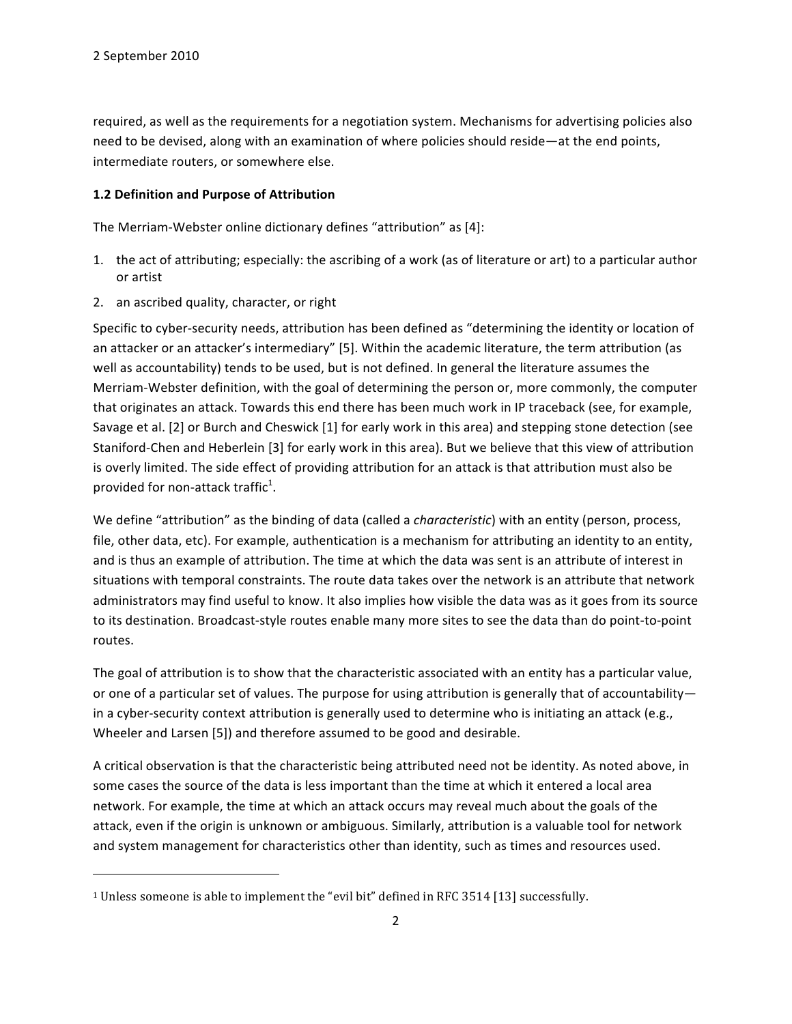required, as well as the requirements for a negotiation system. Mechanisms for advertising policies also need to be devised, along with an examination of where policies should reside—at the end points, intermediate routers, or somewhere else.

## **1.2 Definition and Purpose of Attribution**

The Merriam-Webster online dictionary defines "attribution" as [4]:

- 1. the act of attributing; especially: the ascribing of a work (as of literature or art) to a particular author or artist
- 2. an ascribed quality, character, or right

""""""""""""""""""""""""""""""""""""""""""""""""""""""""""""

Specific to cyber-security needs, attribution has been defined as "determining the identity or location of an attacker or an attacker's intermediary" [5]. Within the academic literature, the term attribution (as well as accountability) tends to be used, but is not defined. In general the literature assumes the Merriam-Webster definition, with the goal of determining the person or, more commonly, the computer that originates an attack. Towards this end there has been much work in IP traceback (see, for example, Savage et al. [2] or Burch and Cheswick [1] for early work in this area) and stepping stone detection (see") Staniford-Chen and Heberlein [3] for early work in this area). But we believe that this view of attribution is overly limited. The side effect of providing attribution for an attack is that attribution must also be provided for non-attack traffic<sup>1</sup>.

We define "attribution" as the binding of data (called a *characteristic*) with an entity (person, process, file, other data, etc). For example, authentication is a mechanism for attributing an identity to an entity, and is thus an example of attribution. The time at which the data was sent is an attribute of interest in situations with temporal constraints. The route data takes over the network is an attribute that network administrators may find useful to know. It also implies how visible the data was as it goes from its source to its destination. Broadcast-style routes enable many more sites to see the data than do point-to-point routes.

The goal of attribution is to show that the characteristic associated with an entity has a particular value, or one of a particular set of values. The purpose for using attribution is generally that of accountability in a cyber-security context attribution is generally used to determine who is initiating an attack (e.g., Wheeler and Larsen [5]) and therefore assumed to be good and desirable.

A critical observation is that the characteristic being attributed need not be identity. As noted above, in some cases the source of the data is less important than the time at which it entered a local area network. For example, the time at which an attack occurs may reveal much about the goals of the attack, even if the origin is unknown or ambiguous. Similarly, attribution is a valuable tool for network and system management for characteristics other than identity, such as times and resources used.

<sup>&</sup>lt;sup>1</sup> Unless someone is able to implement the "evil bit" defined in RFC 3514 [13] successfully.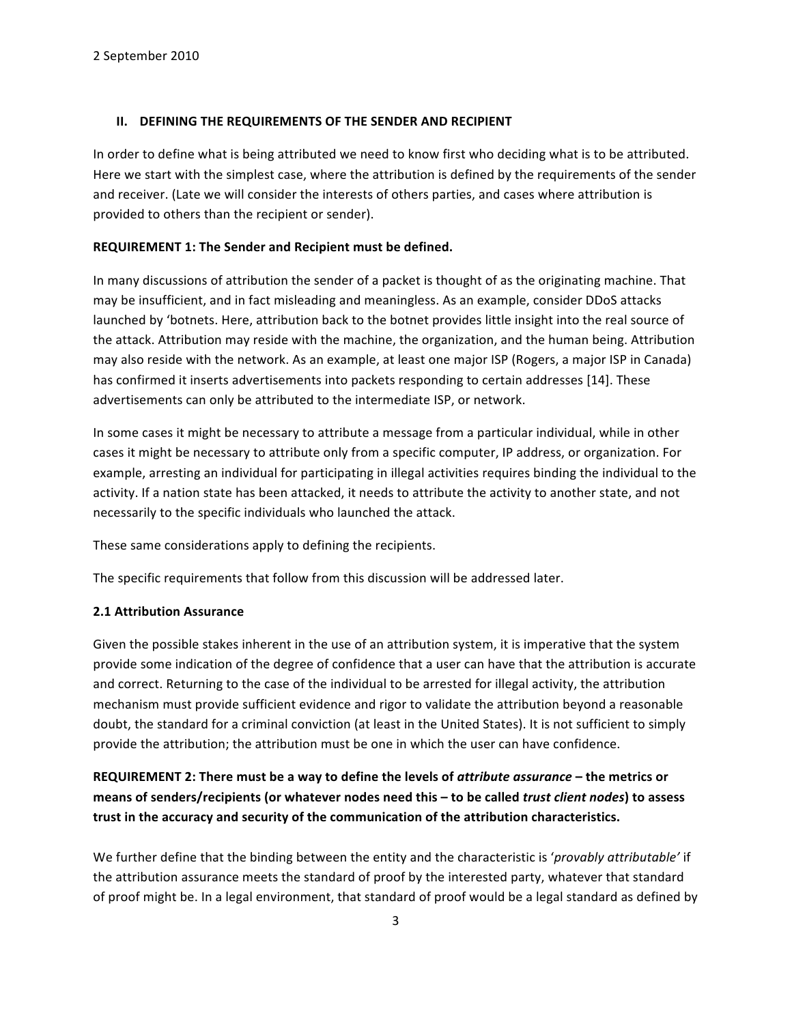#### **II.** DEFINING THE REQUIREMENTS OF THE SENDER AND RECIPIENT

In order to define what is being attributed we need to know first who deciding what is to be attributed. Here we start with the simplest case, where the attribution is defined by the requirements of the sender and receiver. (Late we will consider the interests of others parties, and cases where attribution is provided to others than the recipient or sender).

#### REQUIREMENT 1: The Sender and Recipient must be defined.

In many discussions of attribution the sender of a packet is thought of as the originating machine. That may be insufficient, and in fact misleading and meaningless. As an example, consider DDoS attacks launched by 'botnets. Here, attribution back to the botnet provides little insight into the real source of the attack. Attribution may reside with the machine, the organization, and the human being. Attribution may also reside with the network. As an example, at least one major ISP (Rogers, a major ISP in Canada) has confirmed it inserts advertisements into packets responding to certain addresses [14]. These advertisements can only be attributed to the intermediate ISP, or network.

In some cases it might be necessary to attribute a message from a particular individual, while in other cases it might be necessary to attribute only from a specific computer, IP address, or organization. For example, arresting an individual for participating in illegal activities requires binding the individual to the activity. If a nation state has been attacked, it needs to attribute the activity to another state, and not necessarily to the specific individuals who launched the attack.

These same considerations apply to defining the recipients.

The specific requirements that follow from this discussion will be addressed later.

### **2.1 Attribution Assurance**

Given the possible stakes inherent in the use of an attribution system, it is imperative that the system provide some indication of the degree of confidence that a user can have that the attribution is accurate and correct. Returning to the case of the individual to be arrested for illegal activity, the attribution mechanism must provide sufficient evidence and rigor to validate the attribution beyond a reasonable doubt, the standard for a criminal conviction (at least in the United States). It is not sufficient to simply provide the attribution; the attribution must be one in which the user can have confidence.

REQUIREMENT 2: There must be a way to define the levels of *attribute assurance* – the metrics or **means of senders/recipients (or whatever nodes need this – to be called** *trust client nodes***) to assess** trust in the accuracy and security of the communication of the attribution characteristics.

We further define that the binding between the entity and the characteristic is '*provably attributable'* if the attribution assurance meets the standard of proof by the interested party, whatever that standard of proof might be. In a legal environment, that standard of proof would be a legal standard as defined by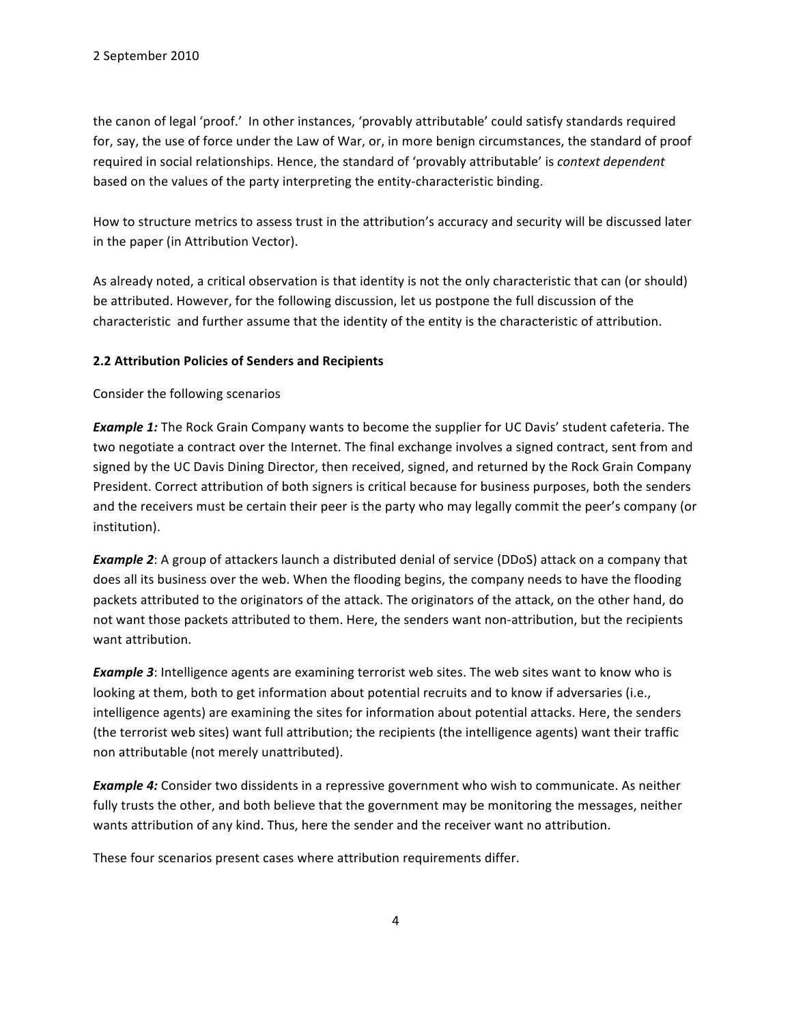the canon of legal 'proof.' In other instances, 'provably attributable' could satisfy standards required for, say, the use of force under the Law of War, or, in more benign circumstances, the standard of proof required in social relationships. Hence, the standard of 'provably attributable' is *context dependent* based on the values of the party interpreting the entity-characteristic binding.

How to structure metrics to assess trust in the attribution's accuracy and security will be discussed later in the paper (in Attribution Vector).

As already noted, a critical observation is that identity is not the only characteristic that can (or should) be attributed. However, for the following discussion, let us postpone the full discussion of the characteristic and further assume that the identity of the entity is the characteristic of attribution.

## **2.2 Attribution Policies of Senders and Recipients**

Consider the following scenarios

**Example 1:** The Rock Grain Company wants to become the supplier for UC Davis' student cafeteria. The two negotiate a contract over the Internet. The final exchange involves a signed contract, sent from and signed by the UC Davis Dining Director, then received, signed, and returned by the Rock Grain Company President. Correct attribution of both signers is critical because for business purposes, both the senders and the receivers must be certain their peer is the party who may legally commit the peer's company (or institution).

*Example 2*: A group of attackers launch a distributed denial of service (DDoS) attack on a company that does all its business over the web. When the flooding begins, the company needs to have the flooding packets attributed to the originators of the attack. The originators of the attack, on the other hand, do not want those packets attributed to them. Here, the senders want non-attribution, but the recipients want attribution.

*Example 3*: Intelligence agents are examining terrorist web sites. The web sites want to know who is looking at them, both to get information about potential recruits and to know if adversaries (i.e., intelligence agents) are examining the sites for information about potential attacks. Here, the senders (the terrorist web sites) want full attribution; the recipients (the intelligence agents) want their traffic non attributable (not merely unattributed).

*Example 4:* Consider two dissidents in a repressive government who wish to communicate. As neither fully trusts the other, and both believe that the government may be monitoring the messages, neither wants attribution of any kind. Thus, here the sender and the receiver want no attribution.

These four scenarios present cases where attribution requirements differ.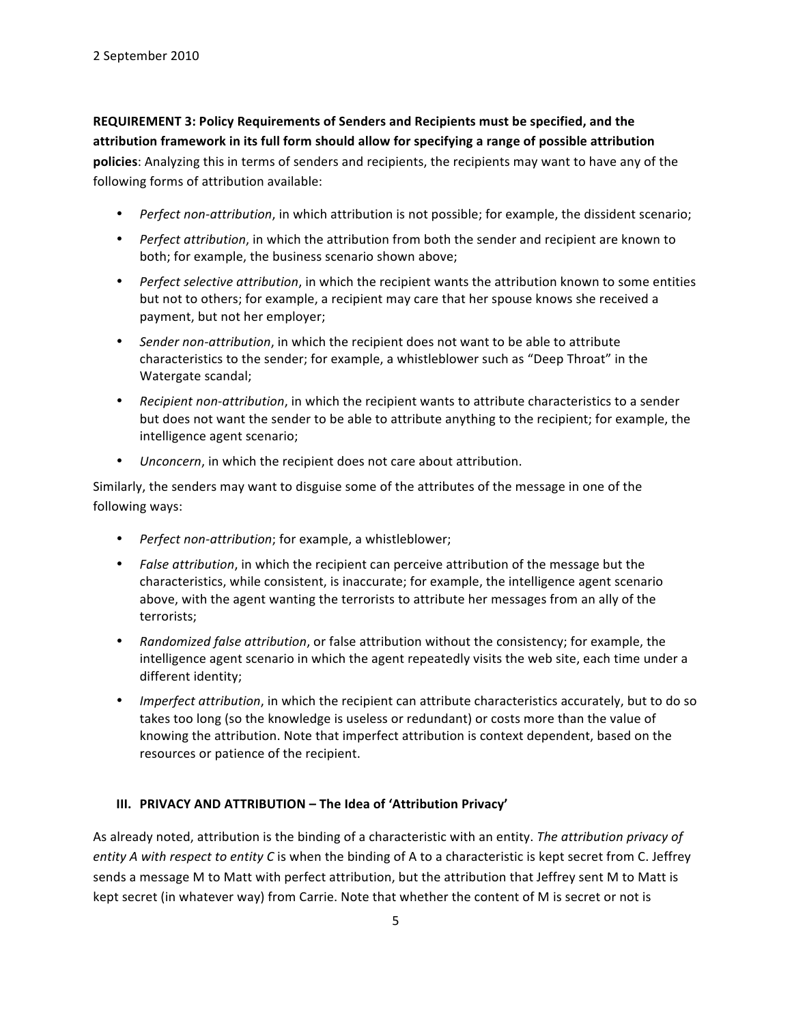REQUIREMENT 3: Policy Requirements of Senders and Recipients must be specified, and the attribution framework in its full form should allow for specifying a range of possible attribution policies: Analyzing this in terms of senders and recipients, the recipients may want to have any of the following forms of attribution available:

- *Perfect non-attribution*, in which attribution is not possible; for example, the dissident scenario;
- *Perfect attribution*, in which the attribution from both the sender and recipient are known to both; for example, the business scenario shown above;
- *Perfect selective attribution*, in which the recipient wants the attribution known to some entities but not to others; for example, a recipient may care that her spouse knows she received a payment, but not her employer;
- *Sender non-attribution*, in which the recipient does not want to be able to attribute characteristics to the sender; for example, a whistleblower such as "Deep Throat" in the Watergate scandal;
- *Recipient non-attribution*, in which the recipient wants to attribute characteristics to a sender but does not want the sender to be able to attribute anything to the recipient; for example, the intelligence agent scenario;
- *Unconcern*, in which the recipient does not care about attribution.

Similarly, the senders may want to disguise some of the attributes of the message in one of the following ways:

- *Perfect non-attribution*; for example, a whistleblower;
- *False attribution*, in which the recipient can perceive attribution of the message but the characteristics, while consistent, is inaccurate; for example, the intelligence agent scenario above, with the agent wanting the terrorists to attribute her messages from an ally of the terrorists;
- *Randomized false attribution*, or false attribution without the consistency; for example, the intelligence agent scenario in which the agent repeatedly visits the web site, each time under a different identity;
- *Imperfect attribution*, in which the recipient can attribute characteristics accurately, but to do so takes too long (so the knowledge is useless or redundant) or costs more than the value of knowing the attribution. Note that imperfect attribution is context dependent, based on the resources or patience of the recipient.

# **III. PRIVACY AND ATTRIBUTION – The Idea of 'Attribution Privacy'**

As already noted, attribution is the binding of a characteristic with an entity. The attribution privacy of *entity A with respect to entity C* is when the binding of A to a characteristic is kept secret from C. Jeffrey sends a message M to Matt with perfect attribution, but the attribution that Jeffrey sent M to Matt is kept secret (in whatever way) from Carrie. Note that whether the content of M is secret or not is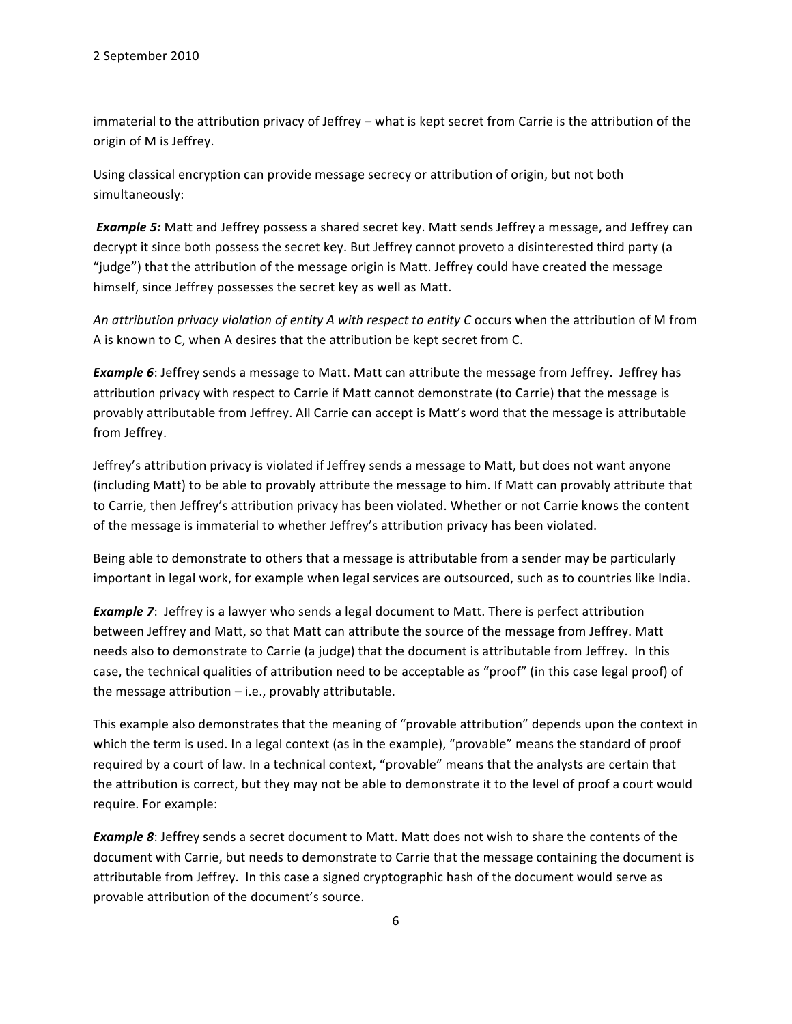immaterial to the attribution privacy of Jeffrey – what is kept secret from Carrie is the attribution of the origin of M is Jeffrey.

Using classical encryption can provide message secrecy or attribution of origin, but not both simultaneously:

**Example 5:** Matt and Jeffrey possess a shared secret key. Matt sends Jeffrey a message, and Jeffrey can decrypt it since both possess the secret key. But Jeffrey cannot proveto a disinterested third party (a "judge") that the attribution of the message origin is Matt. Jeffrey could have created the message himself, since Jeffrey possesses the secret key as well as Matt.

An attribution privacy violation of entity A with respect to entity C occurs when the attribution of M from A is known to C, when A desires that the attribution be kept secret from C.

**Example 6**: Jeffrey sends a message to Matt. Matt can attribute the message from Jeffrey. Jeffrey has attribution privacy with respect to Carrie if Matt cannot demonstrate (to Carrie) that the message is provably attributable from Jeffrey. All Carrie can accept is Matt's word that the message is attributable from Jeffrey.

Jeffrey's attribution privacy is violated if Jeffrey sends a message to Matt, but does not want anyone (including Matt) to be able to provably attribute the message to him. If Matt can provably attribute that to Carrie, then Jeffrey's attribution privacy has been violated. Whether or not Carrie knows the content of the message is immaterial to whether Jeffrey's attribution privacy has been violated.

Being able to demonstrate to others that a message is attributable from a sender may be particularly important in legal work, for example when legal services are outsourced, such as to countries like India.

**Example 7:** Jeffrey is a lawyer who sends a legal document to Matt. There is perfect attribution between Jeffrey and Matt, so that Matt can attribute the source of the message from Jeffrey. Matt needs also to demonstrate to Carrie (a judge) that the document is attributable from Jeffrey. In this case, the technical qualities of attribution need to be acceptable as "proof" (in this case legal proof) of the message attribution  $-$  i.e., provably attributable.

This example also demonstrates that the meaning of "provable attribution" depends upon the context in which the term is used. In a legal context (as in the example), "provable" means the standard of proof required by a court of law. In a technical context, "provable" means that the analysts are certain that the attribution is correct, but they may not be able to demonstrate it to the level of proof a court would require. For example:

**Example 8**: Jeffrey sends a secret document to Matt. Matt does not wish to share the contents of the document with Carrie, but needs to demonstrate to Carrie that the message containing the document is attributable from Jeffrey. In this case a signed cryptographic hash of the document would serve as provable attribution of the document's source.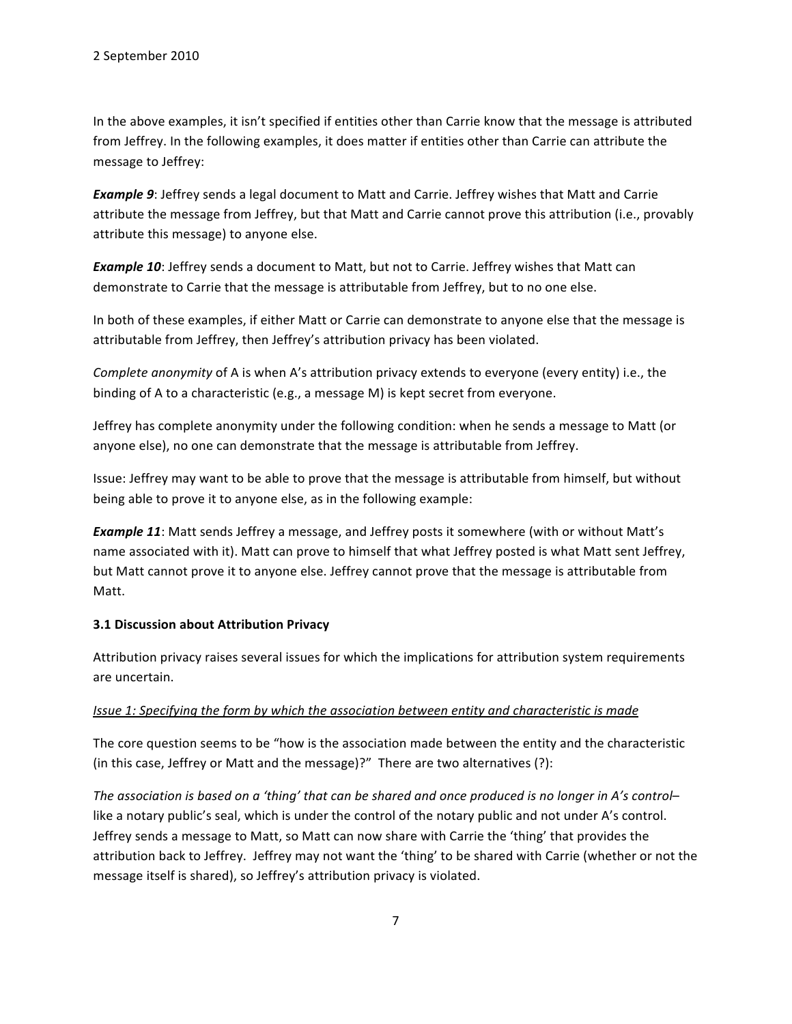In the above examples, it isn't specified if entities other than Carrie know that the message is attributed from Jeffrey. In the following examples, it does matter if entities other than Carrie can attribute the message to Jeffrey:

**Example 9**: Jeffrey sends a legal document to Matt and Carrie. Jeffrey wishes that Matt and Carrie attribute the message from Jeffrey, but that Matt and Carrie cannot prove this attribution (i.e., provably attribute this message) to anyone else.

**Example 10**: Jeffrey sends a document to Matt, but not to Carrie. Jeffrey wishes that Matt can demonstrate to Carrie that the message is attributable from Jeffrey, but to no one else.

In both of these examples, if either Matt or Carrie can demonstrate to anyone else that the message is attributable from Jeffrey, then Jeffrey's attribution privacy has been violated.

*Complete anonymity* of A is when A's attribution privacy extends to everyone (every entity) i.e., the binding of A to a characteristic (e.g., a message M) is kept secret from everyone.

Jeffrey has complete anonymity under the following condition: when he sends a message to Matt (or anyone else), no one can demonstrate that the message is attributable from Jeffrey.

Issue: Jeffrey may want to be able to prove that the message is attributable from himself, but without being able to prove it to anyone else, as in the following example:

*Example 11*: Matt sends Jeffrey a message, and Jeffrey posts it somewhere (with or without Matt's name associated with it). Matt can prove to himself that what Jeffrey posted is what Matt sent Jeffrey, but Matt cannot prove it to anyone else. Jeffrey cannot prove that the message is attributable from Matt.

### **3.1 Discussion about Attribution Privacy**

Attribution privacy raises several issues for which the implications for attribution system requirements are uncertain.

### *Issue 1: Specifying the form by which the association between entity and characteristic is made*

The core question seems to be "how is the association made between the entity and the characteristic (in this case, Jeffrey or Matt and the message)?" There are two alternatives (?):

The association is based on a 'thing' that can be shared and once produced is no longer in A's control– like a notary public's seal, which is under the control of the notary public and not under A's control. Jeffrey sends a message to Matt, so Matt can now share with Carrie the 'thing' that provides the attribution back to Jeffrey. Jeffrey may not want the 'thing' to be shared with Carrie (whether or not the message itself is shared), so Jeffrey's attribution privacy is violated.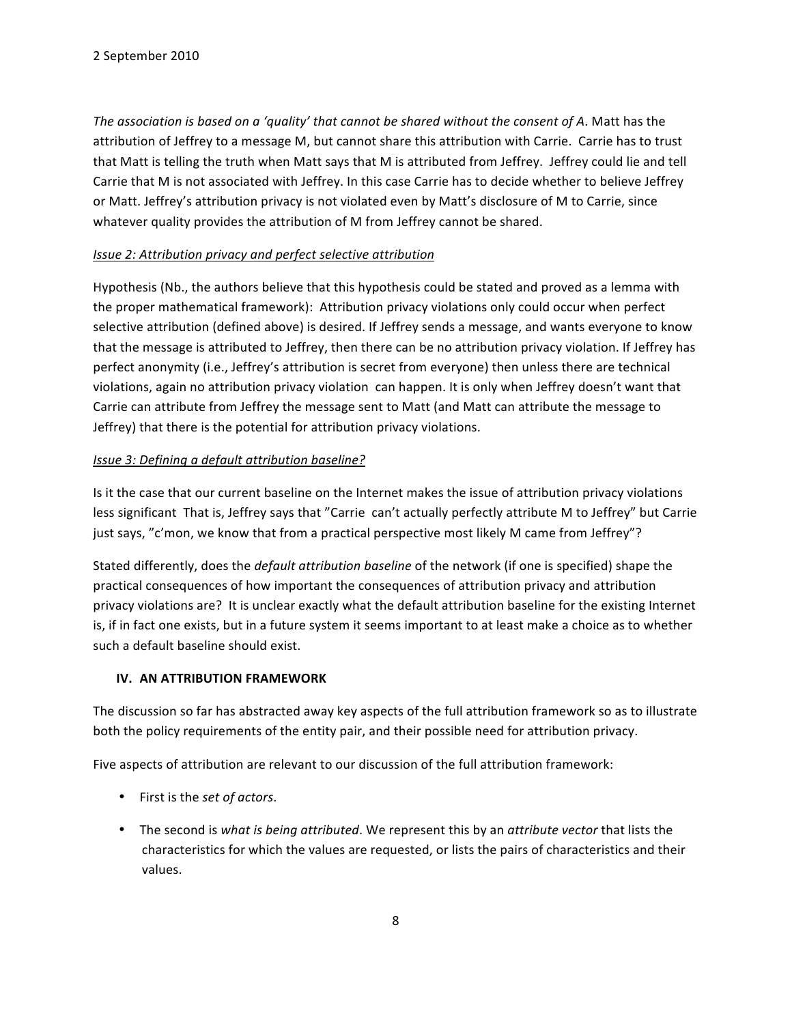*The association is based on a 'quality' that cannot be shared without the consent of A. Matt has the* attribution of Jeffrey to a message M, but cannot share this attribution with Carrie. Carrie has to trust that Matt is telling the truth when Matt says that M is attributed from Jeffrey. Jeffrey could lie and tell Carrie that M is not associated with Jeffrey. In this case Carrie has to decide whether to believe Jeffrey or Matt. Jeffrey's attribution privacy is not violated even by Matt's disclosure of M to Carrie, since whatever quality provides the attribution of M from Jeffrey cannot be shared.

## *Issue 2: Attribution privacy and perfect selective attribution*

Hypothesis (Nb., the authors believe that this hypothesis could be stated and proved as a lemma with the proper mathematical framework): Attribution privacy violations only could occur when perfect selective attribution (defined above) is desired. If Jeffrey sends a message, and wants everyone to know that the message is attributed to Jeffrey, then there can be no attribution privacy violation. If Jeffrey has perfect anonymity (i.e., Jeffrey's attribution is secret from everyone) then unless there are technical violations, again no attribution privacy violation can happen. It is only when Jeffrey doesn't want that Carrie can attribute from Jeffrey the message sent to Matt (and Matt can attribute the message to Jeffrey) that there is the potential for attribution privacy violations.

## *Issue 3: Defining a default attribution baseline?*

Is it the case that our current baseline on the Internet makes the issue of attribution privacy violations less significant That is, Jeffrey says that "Carrie can't actually perfectly attribute M to Jeffrey" but Carrie just says, "c'mon, we know that from a practical perspective most likely M came from Jeffrey"?

Stated differently, does the *default attribution baseline* of the network (if one is specified) shape the practical consequences of how important the consequences of attribution privacy and attribution privacy violations are? It is unclear exactly what the default attribution baseline for the existing Internet is, if in fact one exists, but in a future system it seems important to at least make a choice as to whether such a default baseline should exist.

# **IV. AN ATTRIBUTION FRAMEWORK**

The discussion so far has abstracted away key aspects of the full attribution framework so as to illustrate both the policy requirements of the entity pair, and their possible need for attribution privacy.

Five aspects of attribution are relevant to our discussion of the full attribution framework:

- First is the *set of actors*.
- The second is what is being attributed. We represent this by an attribute vector that lists the characteristics for which the values are requested, or lists the pairs of characteristics and their values.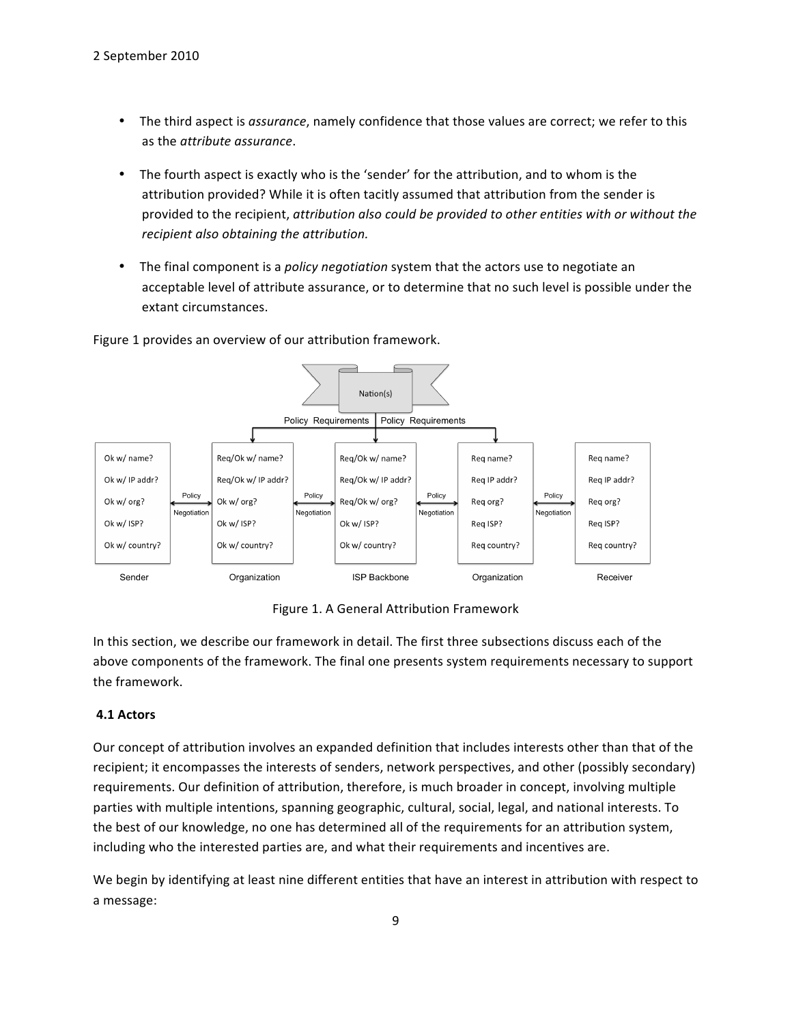- The third aspect is *assurance*, namely confidence that those values are correct; we refer to this as the *attribute* assurance.
- The fourth aspect is exactly who is the 'sender' for the attribution, and to whom is the attribution provided? While it is often tacitly assumed that attribution from the sender is provided to the recipient, *attribution also could be provided to other entities with or without the* recipient also obtaining the attribution.
- The final component is a *policy negotiation* system that the actors use to negotiate an acceptable level of attribute assurance, or to determine that no such level is possible under the extant circumstances.

## Figure 1 provides an overview of our attribution framework.



Figure 1. A General Attribution Framework

In this section, we describe our framework in detail. The first three subsections discuss each of the above components of the framework. The final one presents system requirements necessary to support the framework.

# **4.1 Actors**

Our concept of attribution involves an expanded definition that includes interests other than that of the recipient; it encompasses the interests of senders, network perspectives, and other (possibly secondary) requirements. Our definition of attribution, therefore, is much broader in concept, involving multiple parties with multiple intentions, spanning geographic, cultural, social, legal, and national interests. To the best of our knowledge, no one has determined all of the requirements for an attribution system, including who the interested parties are, and what their requirements and incentives are.

We begin by identifying at least nine different entities that have an interest in attribution with respect to a message: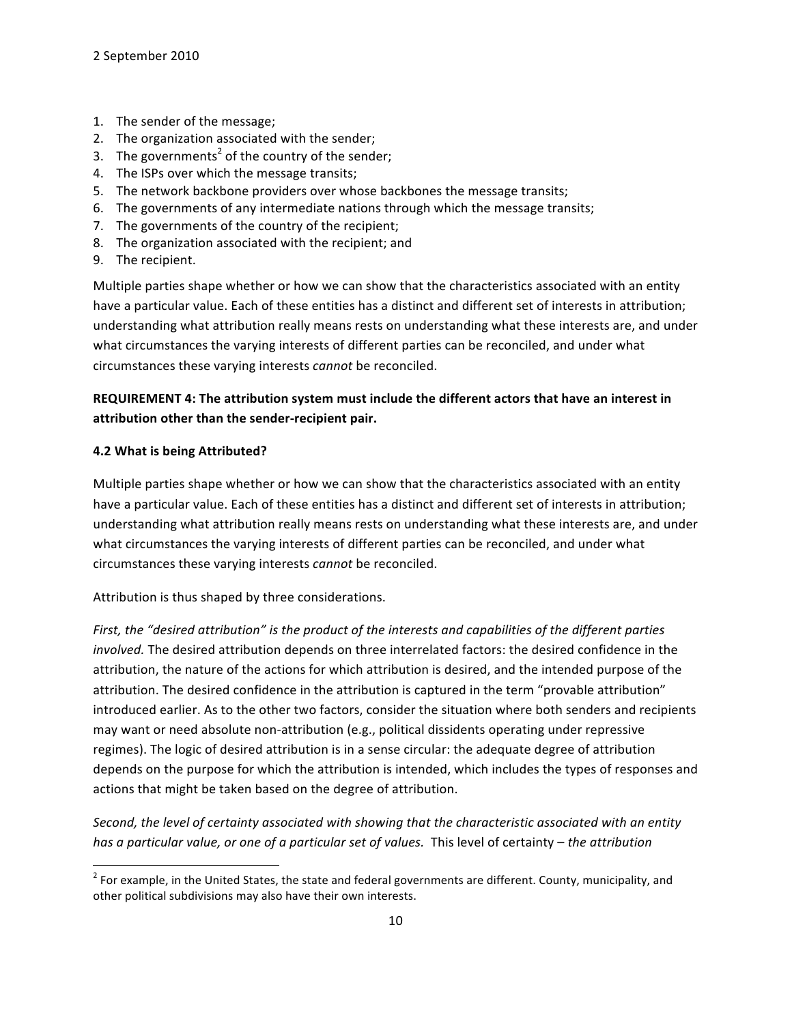- 1. The sender of the message;
- 2. The organization associated with the sender;
- 3. The governments<sup>2</sup> of the country of the sender;
- 4. The ISPs over which the message transits;
- 5. The network backbone providers over whose backbones the message transits;
- 6. The governments of any intermediate nations through which the message transits;
- 7. The governments of the country of the recipient;
- 8. The organization associated with the recipient; and
- 9. The recipient.

Multiple parties shape whether or how we can show that the characteristics associated with an entity have a particular value. Each of these entities has a distinct and different set of interests in attribution; understanding what attribution really means rests on understanding what these interests are, and under what circumstances the varying interests of different parties can be reconciled, and under what circumstances these varying interests *cannot* be reconciled.

# REQUIREMENT 4: The attribution system must include the different actors that have an interest in attribution other than the sender-recipient pair.

## **4.2 What is being Attributed?**

""""""""""""""""""""""""""""""""""""""""""""""""""""""""""""

Multiple parties shape whether or how we can show that the characteristics associated with an entity have a particular value. Each of these entities has a distinct and different set of interests in attribution; understanding what attribution really means rests on understanding what these interests are, and under what circumstances the varying interests of different parties can be reconciled, and under what circumstances these varying interests *cannot* be reconciled.

Attribution is thus shaped by three considerations.

First, the "desired attribution" is the product of the interests and capabilities of the different parties *involved.* The desired attribution depends on three interrelated factors: the desired confidence in the attribution, the nature of the actions for which attribution is desired, and the intended purpose of the attribution. The desired confidence in the attribution is captured in the term "provable attribution" introduced earlier. As to the other two factors, consider the situation where both senders and recipients may want or need absolute non-attribution (e.g., political dissidents operating under repressive regimes). The logic of desired attribution is in a sense circular: the adequate degree of attribution depends on the purpose for which the attribution is intended, which includes the types of responses and actions that might be taken based on the degree of attribution.

*Second, the level of certainty associated with showing that the characteristic associated with an entity has a particular value, or one of a particular set of values.* This level of certainty – *the attribution* 

 $^2$  For example, in the United States, the state and federal governments are different. County, municipality, and other political subdivisions may also have their own interests.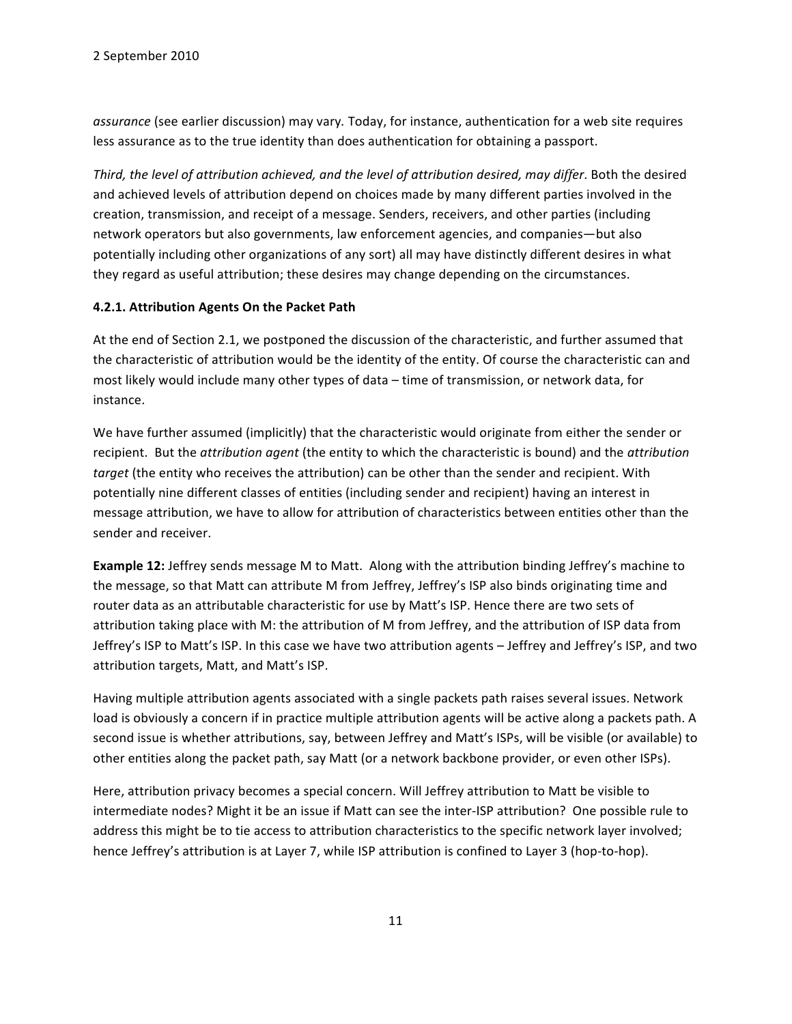assurance (see earlier discussion) may vary. Today, for instance, authentication for a web site requires less assurance as to the true identity than does authentication for obtaining a passport.

*Third, the level of attribution achieved, and the level of attribution desired, may differ. Both the desired* and achieved levels of attribution depend on choices made by many different parties involved in the creation, transmission, and receipt of a message. Senders, receivers, and other parties (including network operators but also governments, law enforcement agencies, and companies—but also potentially including other organizations of any sort) all may have distinctly different desires in what they regard as useful attribution; these desires may change depending on the circumstances.

#### **4.2.1. Attribution Agents On the Packet Path**

At the end of Section 2.1, we postponed the discussion of the characteristic, and further assumed that the characteristic of attribution would be the identity of the entity. Of course the characteristic can and most likely would include many other types of data – time of transmission, or network data, for instance.

We have further assumed (implicitly) that the characteristic would originate from either the sender or recipient. But the *attribution agent* (the entity to which the characteristic is bound) and the *attribution target* (the entity who receives the attribution) can be other than the sender and recipient. With potentially nine different classes of entities (including sender and recipient) having an interest in message attribution, we have to allow for attribution of characteristics between entities other than the sender and receiver.

**Example 12:** Jeffrey sends message M to Matt. Along with the attribution binding Jeffrey's machine to the message, so that Matt can attribute M from Jeffrey, Jeffrey's ISP also binds originating time and router data as an attributable characteristic for use by Matt's ISP. Hence there are two sets of attribution taking place with M: the attribution of M from Jeffrey, and the attribution of ISP data from Jeffrey's ISP to Matt's ISP. In this case we have two attribution agents - Jeffrey and Jeffrey's ISP, and two attribution targets, Matt, and Matt's ISP.

Having multiple attribution agents associated with a single packets path raises several issues. Network load is obviously a concern if in practice multiple attribution agents will be active along a packets path. A second issue is whether attributions, say, between Jeffrey and Matt's ISPs, will be visible (or available) to other entities along the packet path, say Matt (or a network backbone provider, or even other ISPs).

Here, attribution privacy becomes a special concern. Will Jeffrey attribution to Matt be visible to intermediate nodes? Might it be an issue if Matt can see the inter-ISP attribution? One possible rule to address this might be to tie access to attribution characteristics to the specific network layer involved; hence Jeffrey's attribution is at Layer 7, while ISP attribution is confined to Layer 3 (hop-to-hop).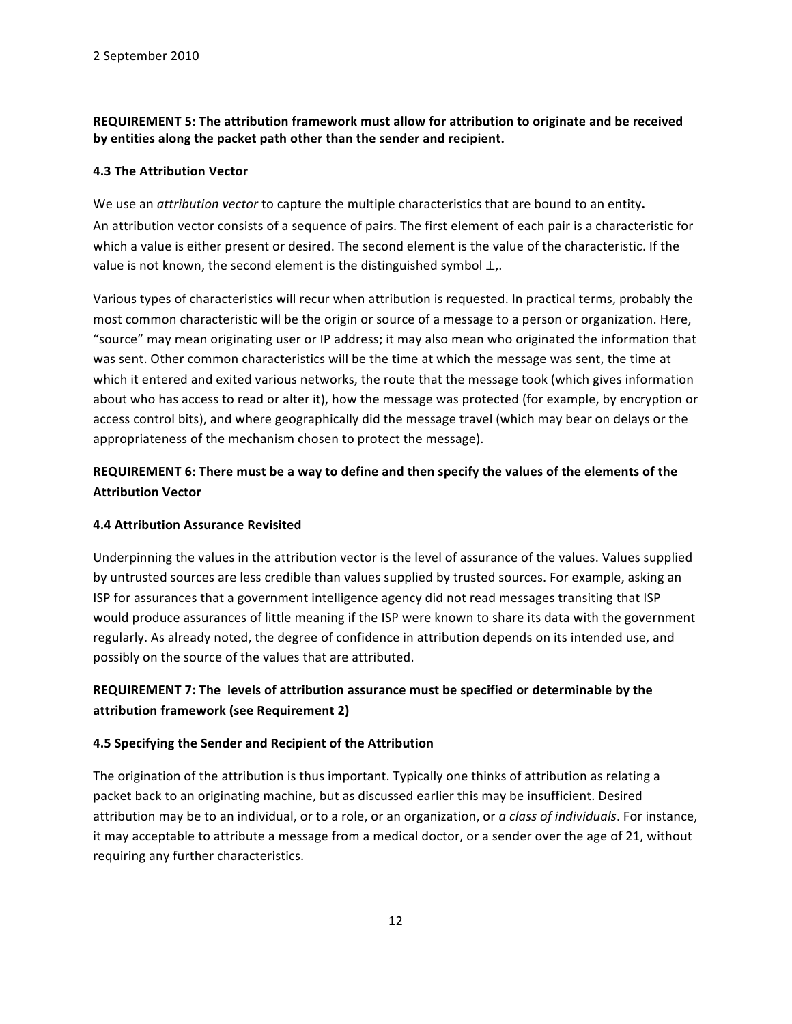# REQUIREMENT 5: The attribution framework must allow for attribution to originate and be received by entities along the packet path other than the sender and recipient.

### **4.3 The Attribution Vector**

We use an *attribution vector* to capture the multiple characteristics that are bound to an entity. An attribution vector consists of a sequence of pairs. The first element of each pair is a characteristic for which a value is either present or desired. The second element is the value of the characteristic. If the value is not known, the second element is the distinguished symbol  $\perp$ ,.

Various types of characteristics will recur when attribution is requested. In practical terms, probably the most common characteristic will be the origin or source of a message to a person or organization. Here, "source" may mean originating user or IP address; it may also mean who originated the information that was sent. Other common characteristics will be the time at which the message was sent, the time at which it entered and exited various networks, the route that the message took (which gives information about who has access to read or alter it), how the message was protected (for example, by encryption or access control bits), and where geographically did the message travel (which may bear on delays or the appropriateness of the mechanism chosen to protect the message).

# REQUIREMENT 6: There must be a way to define and then specify the values of the elements of the **Attribution Vector**

### **4.4 Attribution Assurance Revisited**

Underpinning the values in the attribution vector is the level of assurance of the values. Values supplied by untrusted sources are less credible than values supplied by trusted sources. For example, asking an ISP for assurances that a government intelligence agency did not read messages transiting that ISP would produce assurances of little meaning if the ISP were known to share its data with the government regularly. As already noted, the degree of confidence in attribution depends on its intended use, and possibly on the source of the values that are attributed.

# REQUIREMENT 7: The levels of attribution assurance must be specified or determinable by the attribution framework (see Requirement 2)

# **4.5 Specifying the Sender and Recipient of the Attribution**

The origination of the attribution is thus important. Typically one thinks of attribution as relating a packet back to an originating machine, but as discussed earlier this may be insufficient. Desired attribution may be to an individual, or to a role, or an organization, or a class of individuals. For instance, it may acceptable to attribute a message from a medical doctor, or a sender over the age of 21, without requiring any further characteristics.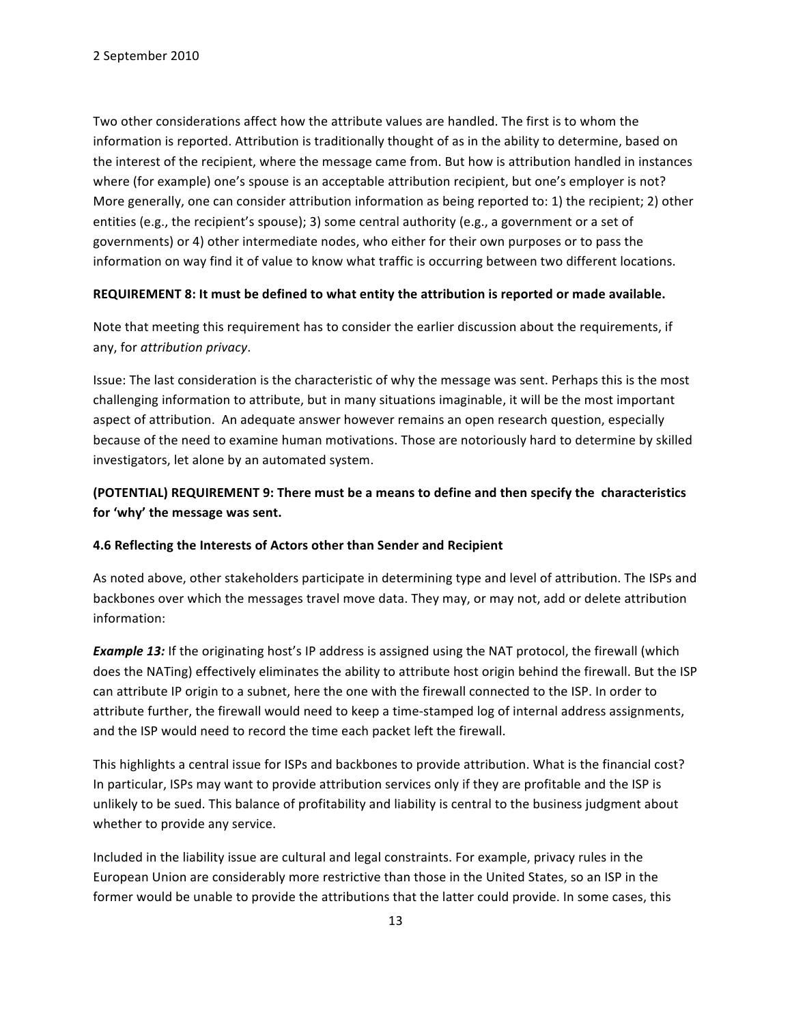Two other considerations affect how the attribute values are handled. The first is to whom the information is reported. Attribution is traditionally thought of as in the ability to determine, based on the interest of the recipient, where the message came from. But how is attribution handled in instances where (for example) one's spouse is an acceptable attribution recipient, but one's employer is not? More generally, one can consider attribution information as being reported to: 1) the recipient; 2) other entities (e.g., the recipient's spouse); 3) some central authority (e.g., a government or a set of governments) or 4) other intermediate nodes, who either for their own purposes or to pass the information on way find it of value to know what traffic is occurring between two different locations.

#### REQUIREMENT 8: It must be defined to what entity the attribution is reported or made available.

Note that meeting this requirement has to consider the earlier discussion about the requirements, if any, for *attribution privacy*.

Issue: The last consideration is the characteristic of why the message was sent. Perhaps this is the most challenging information to attribute, but in many situations imaginable, it will be the most important aspect of attribution. An adequate answer however remains an open research question, especially because of the need to examine human motivations. Those are notoriously hard to determine by skilled investigators, let alone by an automated system.

# (POTENTIAL) REQUIREMENT 9: There must be a means to define and then specify the characteristics for 'why' the message was sent.

### **4.6 Reflecting the Interests of Actors other than Sender and Recipient**

As noted above, other stakeholders participate in determining type and level of attribution. The ISPs and backbones over which the messages travel move data. They may, or may not, add or delete attribution information:

*Example 13:* If the originating host's IP address is assigned using the NAT protocol, the firewall (which does the NATing) effectively eliminates the ability to attribute host origin behind the firewall. But the ISP can attribute IP origin to a subnet, here the one with the firewall connected to the ISP. In order to attribute further, the firewall would need to keep a time-stamped log of internal address assignments, and the ISP would need to record the time each packet left the firewall.

This highlights a central issue for ISPs and backbones to provide attribution. What is the financial cost? In particular, ISPs may want to provide attribution services only if they are profitable and the ISP is unlikely to be sued. This balance of profitability and liability is central to the business judgment about whether to provide any service.

Included in the liability issue are cultural and legal constraints. For example, privacy rules in the European Union are considerably more restrictive than those in the United States, so an ISP in the former would be unable to provide the attributions that the latter could provide. In some cases, this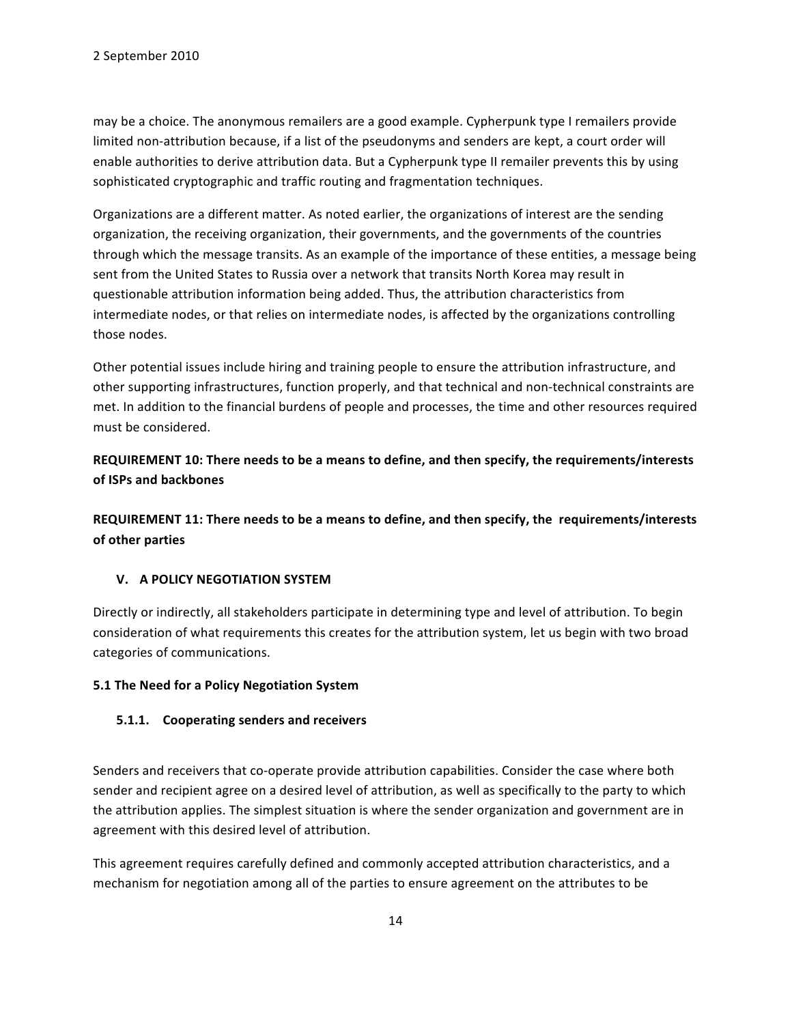may be a choice. The anonymous remailers are a good example. Cypherpunk type I remailers provide limited non-attribution because, if a list of the pseudonyms and senders are kept, a court order will enable authorities to derive attribution data. But a Cypherpunk type II remailer prevents this by using sophisticated cryptographic and traffic routing and fragmentation techniques.

Organizations are a different matter. As noted earlier, the organizations of interest are the sending organization, the receiving organization, their governments, and the governments of the countries through which the message transits. As an example of the importance of these entities, a message being sent from the United States to Russia over a network that transits North Korea may result in questionable attribution information being added. Thus, the attribution characteristics from intermediate nodes, or that relies on intermediate nodes, is affected by the organizations controlling those nodes.

Other potential issues include hiring and training people to ensure the attribution infrastructure, and other supporting infrastructures, function properly, and that technical and non-technical constraints are met. In addition to the financial burdens of people and processes, the time and other resources required must be considered.

REQUIREMENT 10: There needs to be a means to define, and then specify, the requirements/interests **of ISPs and backbones** 

REQUIREMENT 11: There needs to be a means to define, and then specify, the requirements/interests **of other parties** 

# **V. A POLICY NEGOTIATION SYSTEM**

Directly or indirectly, all stakeholders participate in determining type and level of attribution. To begin consideration of what requirements this creates for the attribution system, let us begin with two broad categories of communications.

### **5.1 The Need for a Policy Negotiation System**

### **5.1.1.** Cooperating senders and receivers

Senders and receivers that co-operate provide attribution capabilities. Consider the case where both sender and recipient agree on a desired level of attribution, as well as specifically to the party to which the attribution applies. The simplest situation is where the sender organization and government are in agreement with this desired level of attribution.

This agreement requires carefully defined and commonly accepted attribution characteristics, and a mechanism for negotiation among all of the parties to ensure agreement on the attributes to be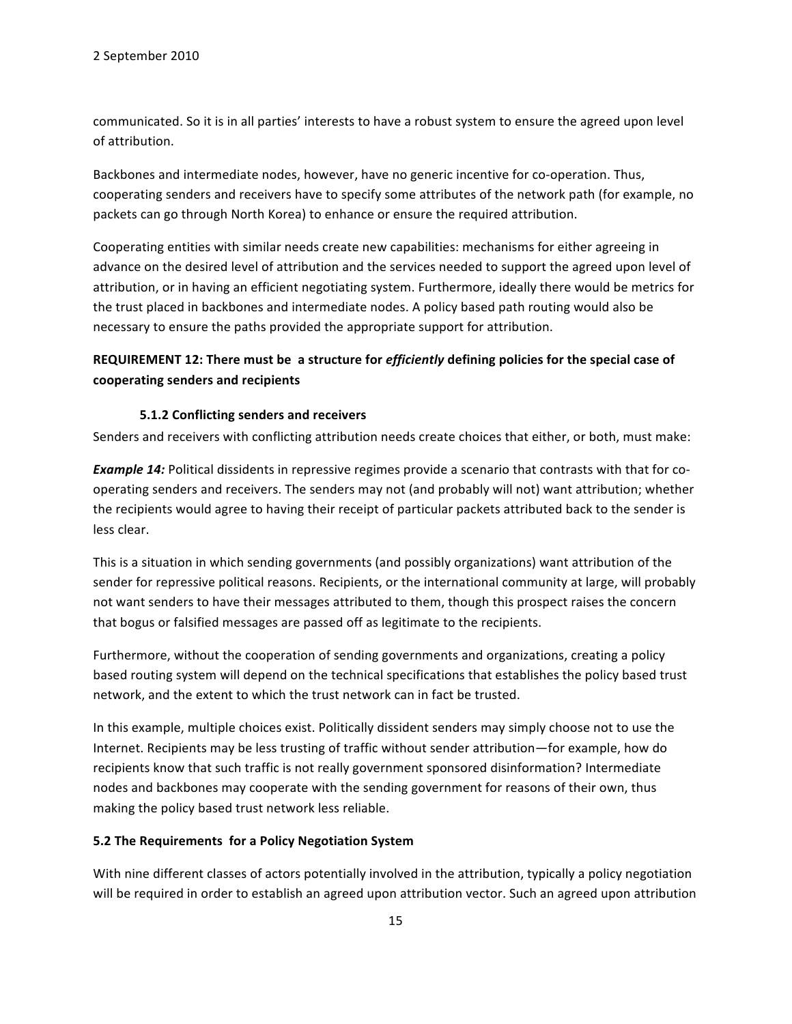communicated. So it is in all parties' interests to have a robust system to ensure the agreed upon level of attribution.

Backbones and intermediate nodes, however, have no generic incentive for co-operation. Thus, cooperating senders and receivers have to specify some attributes of the network path (for example, no packets can go through North Korea) to enhance or ensure the required attribution.

Cooperating entities with similar needs create new capabilities: mechanisms for either agreeing in advance on the desired level of attribution and the services needed to support the agreed upon level of attribution, or in having an efficient negotiating system. Furthermore, ideally there would be metrics for the trust placed in backbones and intermediate nodes. A policy based path routing would also be necessary to ensure the paths provided the appropriate support for attribution.

# REQUIREMENT 12: There must be a structure for *efficiently* defining policies for the special case of cooperating senders and recipients

#### **5.1.2 Conflicting senders and receivers**

Senders and receivers with conflicting attribution needs create choices that either, or both, must make:

*Example 14:* Political dissidents in repressive regimes provide a scenario that contrasts with that for cooperating senders and receivers. The senders may not (and probably will not) want attribution; whether the recipients would agree to having their receipt of particular packets attributed back to the sender is less clear.

This is a situation in which sending governments (and possibly organizations) want attribution of the sender for repressive political reasons. Recipients, or the international community at large, will probably not want senders to have their messages attributed to them, though this prospect raises the concern that bogus or falsified messages are passed off as legitimate to the recipients.

Furthermore, without the cooperation of sending governments and organizations, creating a policy based routing system will depend on the technical specifications that establishes the policy based trust network, and the extent to which the trust network can in fact be trusted.

In this example, multiple choices exist. Politically dissident senders may simply choose not to use the Internet. Recipients may be less trusting of traffic without sender attribution—for example, how do recipients know that such traffic is not really government sponsored disinformation? Intermediate nodes and backbones may cooperate with the sending government for reasons of their own, thus making the policy based trust network less reliable.

#### 5.2 The Requirements for a Policy Negotiation System

With nine different classes of actors potentially involved in the attribution, typically a policy negotiation will be required in order to establish an agreed upon attribution vector. Such an agreed upon attribution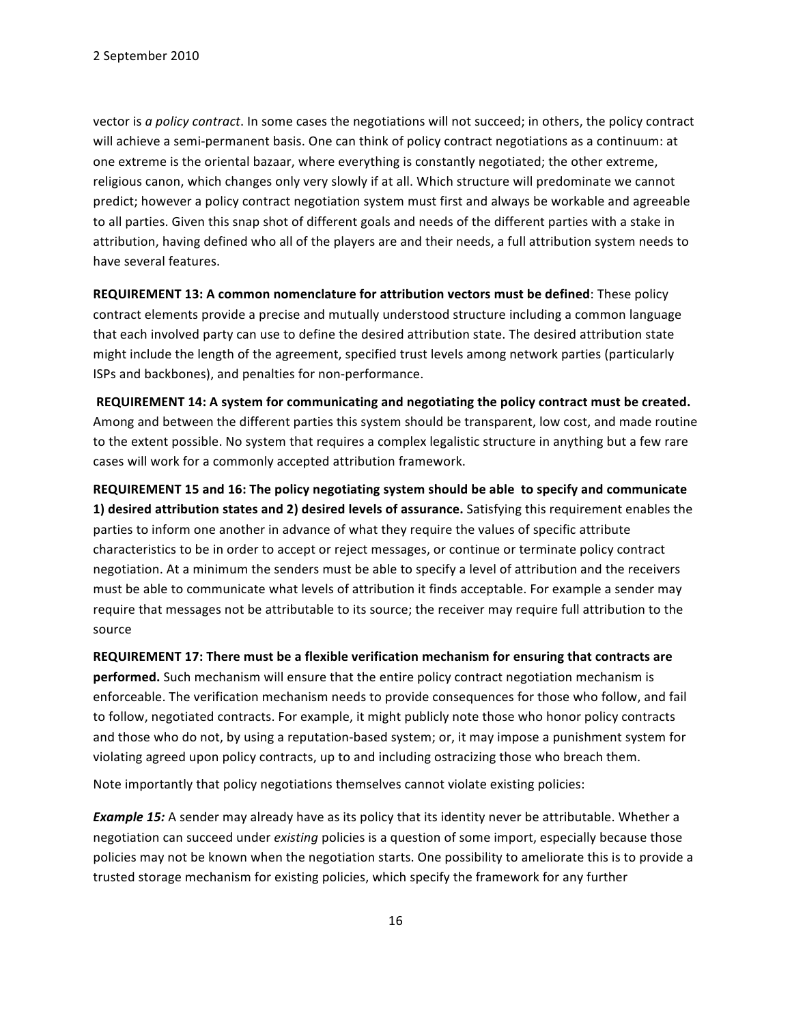vector is *a policy contract*. In some cases the negotiations will not succeed; in others, the policy contract will achieve a semi-permanent basis. One can think of policy contract negotiations as a continuum: at one extreme is the oriental bazaar, where everything is constantly negotiated; the other extreme, religious canon, which changes only very slowly if at all. Which structure will predominate we cannot predict; however a policy contract negotiation system must first and always be workable and agreeable to all parties. Given this snap shot of different goals and needs of the different parties with a stake in attribution, having defined who all of the players are and their needs, a full attribution system needs to have several features.

**REQUIREMENT 13: A common nomenclature for attribution vectors must be defined:** These policy contract elements provide a precise and mutually understood structure including a common language that each involved party can use to define the desired attribution state. The desired attribution state might include the length of the agreement, specified trust levels among network parties (particularly ISPs and backbones), and penalties for non-performance.

REQUIREMENT 14: A system for communicating and negotiating the policy contract must be created. Among and between the different parties this system should be transparent, low cost, and made routine to the extent possible. No system that requires a complex legalistic structure in anything but a few rare cases will work for a commonly accepted attribution framework.

REQUIREMENT 15 and 16: The policy negotiating system should be able to specify and communicate **1) desired attribution states and 2) desired levels of assurance.** Satisfying this requirement enables the parties to inform one another in advance of what they require the values of specific attribute characteristics to be in order to accept or reject messages, or continue or terminate policy contract negotiation. At a minimum the senders must be able to specify a level of attribution and the receivers must be able to communicate what levels of attribution it finds acceptable. For example a sender may require that messages not be attributable to its source; the receiver may require full attribution to the source

REQUIREMENT 17: There must be a flexible verification mechanism for ensuring that contracts are **performed.** Such mechanism will ensure that the entire policy contract negotiation mechanism is enforceable. The verification mechanism needs to provide consequences for those who follow, and fail to follow, negotiated contracts. For example, it might publicly note those who honor policy contracts and those who do not, by using a reputation-based system; or, it may impose a punishment system for violating agreed upon policy contracts, up to and including ostracizing those who breach them.

Note importantly that policy negotiations themselves cannot violate existing policies:

**Example 15:** A sender may already have as its policy that its identity never be attributable. Whether a negotiation can succeed under *existing* policies is a question of some import, especially because those policies may not be known when the negotiation starts. One possibility to ameliorate this is to provide a trusted storage mechanism for existing policies, which specify the framework for any further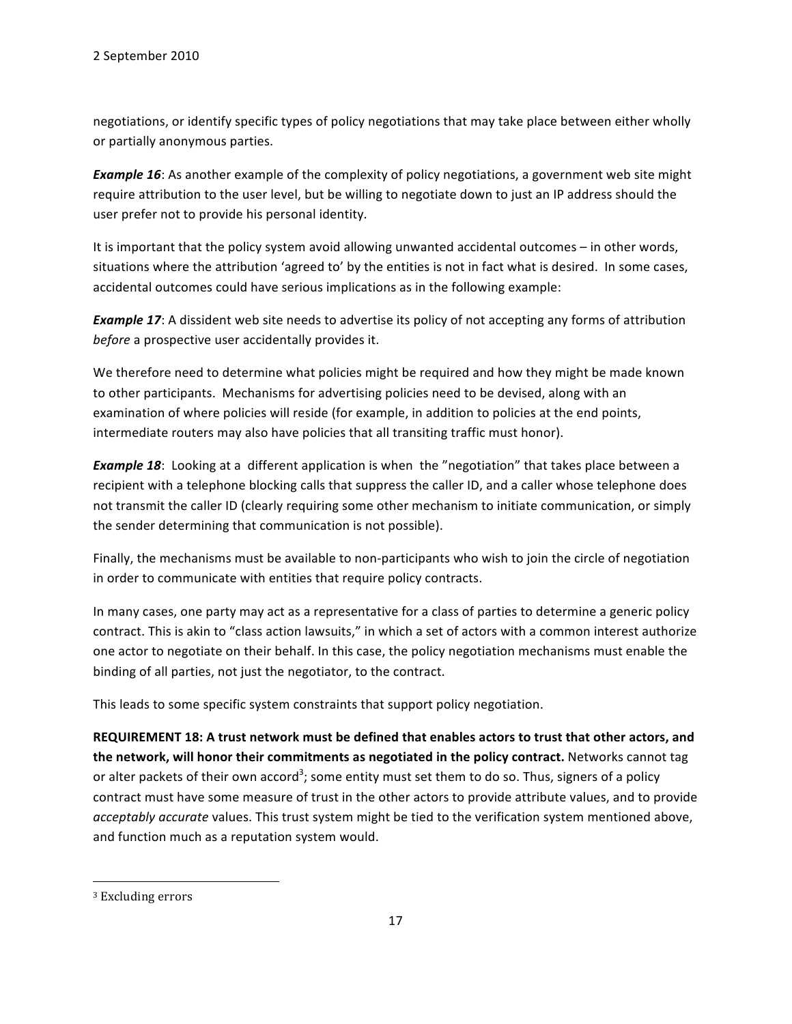negotiations, or identify specific types of policy negotiations that may take place between either wholly or partially anonymous parties.

**Example 16**: As another example of the complexity of policy negotiations, a government web site might require attribution to the user level, but be willing to negotiate down to just an IP address should the user prefer not to provide his personal identity.

It is important that the policy system avoid allowing unwanted accidental outcomes – in other words, situations where the attribution 'agreed to' by the entities is not in fact what is desired. In some cases, accidental outcomes could have serious implications as in the following example:

*Example 17*: A dissident web site needs to advertise its policy of not accepting any forms of attribution *before* a prospective user accidentally provides it.

We therefore need to determine what policies might be required and how they might be made known to other participants. Mechanisms for advertising policies need to be devised, along with an examination of where policies will reside (for example, in addition to policies at the end points, intermediate routers may also have policies that all transiting traffic must honor).

*Example 18*: Looking at a different application is when the "negotiation" that takes place between a recipient with a telephone blocking calls that suppress the caller ID, and a caller whose telephone does not transmit the caller ID (clearly requiring some other mechanism to initiate communication, or simply the sender determining that communication is not possible).

Finally, the mechanisms must be available to non-participants who wish to join the circle of negotiation in order to communicate with entities that require policy contracts.

In many cases, one party may act as a representative for a class of parties to determine a generic policy contract. This is akin to "class action lawsuits," in which a set of actors with a common interest authorize one actor to negotiate on their behalf. In this case, the policy negotiation mechanisms must enable the binding of all parties, not just the negotiator, to the contract.

This leads to some specific system constraints that support policy negotiation.

REQUIREMENT 18: A trust network must be defined that enables actors to trust that other actors, and the network, will honor their commitments as negotiated in the policy contract. Networks cannot tag or alter packets of their own accord<sup>3</sup>; some entity must set them to do so. Thus, signers of a policy contract must have some measure of trust in the other actors to provide attribute values, and to provide acceptably accurate values. This trust system might be tied to the verification system mentioned above, and function much as a reputation system would.

""""""""""""""""""""""""""""""""""""""""""""""""""""""""""""

<sup>&</sup>lt;sup>3</sup> Excluding errors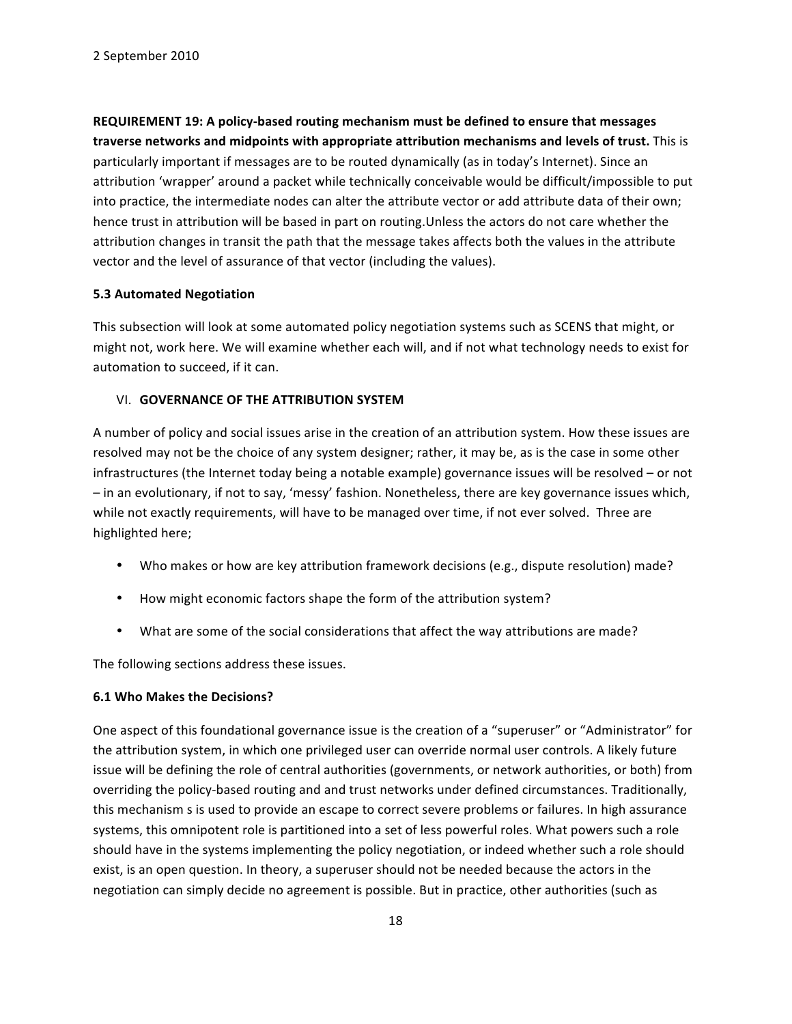REQUIREMENT 19: A policy-based routing mechanism must be defined to ensure that messages traverse networks and midpoints with appropriate attribution mechanisms and levels of trust. This is particularly important if messages are to be routed dynamically (as in today's Internet). Since an attribution 'wrapper' around a packet while technically conceivable would be difficult/impossible to put into practice, the intermediate nodes can alter the attribute vector or add attribute data of their own; hence trust in attribution will be based in part on routing. Unless the actors do not care whether the attribution changes in transit the path that the message takes affects both the values in the attribute vector and the level of assurance of that vector (including the values).

### **5.3 Automated Negotiation**

This subsection will look at some automated policy negotiation systems such as SCENS that might, or might not, work here. We will examine whether each will, and if not what technology needs to exist for automation to succeed, if it can.

#### VI. **GOVERNANCE OF THE ATTRIBUTION SYSTEM**

A number of policy and social issues arise in the creation of an attribution system. How these issues are resolved may not be the choice of any system designer; rather, it may be, as is the case in some other infrastructures (the Internet today being a notable example) governance issues will be resolved – or not  $-$  in an evolutionary, if not to say, 'messy' fashion. Nonetheless, there are key governance issues which, while not exactly requirements, will have to be managed over time, if not ever solved. Three are highlighted here;

- Who makes or how are key attribution framework decisions (e.g., dispute resolution) made?
- How might economic factors shape the form of the attribution system?
- What are some of the social considerations that affect the way attributions are made?

The following sections address these issues.

### **6.1 Who Makes the Decisions?**

One aspect of this foundational governance issue is the creation of a "superuser" or "Administrator" for the attribution system, in which one privileged user can override normal user controls. A likely future issue will be defining the role of central authorities (governments, or network authorities, or both) from overriding the policy-based routing and and trust networks under defined circumstances. Traditionally, this mechanism s is used to provide an escape to correct severe problems or failures. In high assurance systems, this omnipotent role is partitioned into a set of less powerful roles. What powers such a role should have in the systems implementing the policy negotiation, or indeed whether such a role should exist, is an open question. In theory, a superuser should not be needed because the actors in the negotiation can simply decide no agreement is possible. But in practice, other authorities (such as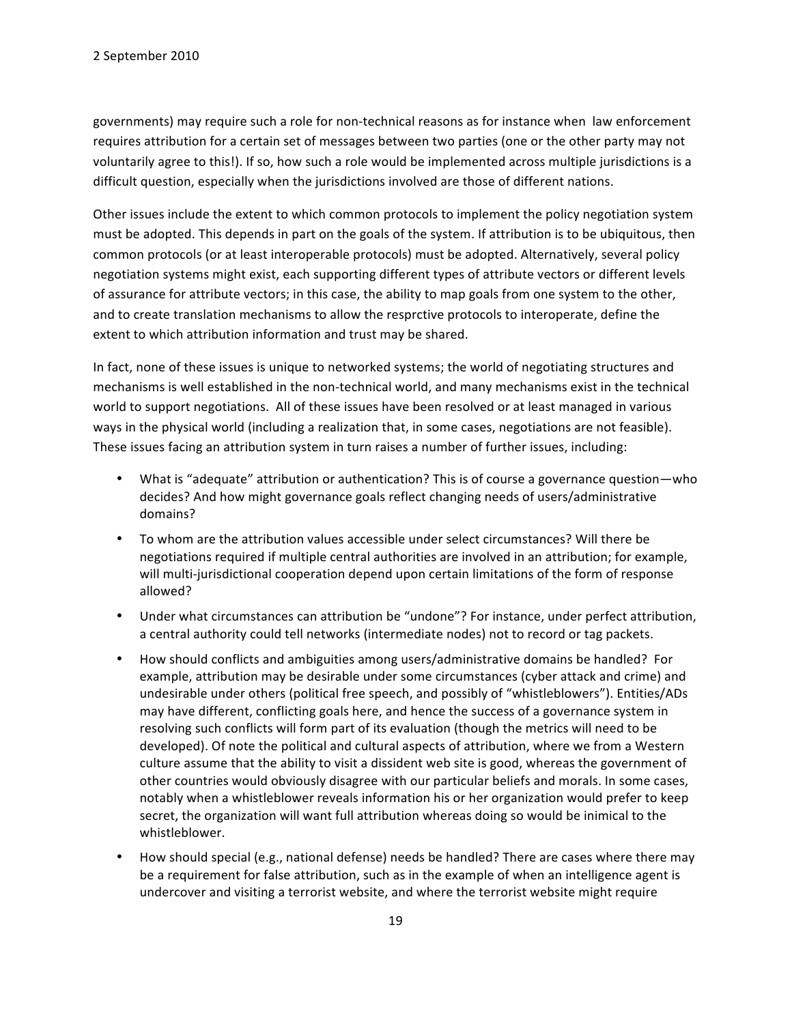governments) may require such a role for non-technical reasons as for instance when law enforcement requires attribution for a certain set of messages between two parties (one or the other party may not voluntarily agree to this!). If so, how such a role would be implemented across multiple jurisdictions is a difficult question, especially when the jurisdictions involved are those of different nations.

Other issues include the extent to which common protocols to implement the policy negotiation system must be adopted. This depends in part on the goals of the system. If attribution is to be ubiquitous, then common protocols (or at least interoperable protocols) must be adopted. Alternatively, several policy negotiation systems might exist, each supporting different types of attribute vectors or different levels of assurance for attribute vectors; in this case, the ability to map goals from one system to the other, and to create translation mechanisms to allow the resprctive protocols to interoperate, define the extent to which attribution information and trust may be shared.

In fact, none of these issues is unique to networked systems; the world of negotiating structures and mechanisms is well established in the non-technical world, and many mechanisms exist in the technical world to support negotiations. All of these issues have been resolved or at least managed in various ways in the physical world (including a realization that, in some cases, negotiations are not feasible). These issues facing an attribution system in turn raises a number of further issues, including:

- What is "adequate" attribution or authentication? This is of course a governance question—who decides? And how might governance goals reflect changing needs of users/administrative domains?
- To whom are the attribution values accessible under select circumstances? Will there be negotiations required if multiple central authorities are involved in an attribution; for example, will multi-jurisdictional cooperation depend upon certain limitations of the form of response allowed?
- Under what circumstances can attribution be "undone"? For instance, under perfect attribution, a central authority could tell networks (intermediate nodes) not to record or tag packets.
- How should conflicts and ambiguities among users/administrative domains be handled? For example, attribution may be desirable under some circumstances (cyber attack and crime) and undesirable under others (political free speech, and possibly of "whistleblowers"). Entities/ADs may have different, conflicting goals here, and hence the success of a governance system in resolving such conflicts will form part of its evaluation (though the metrics will need to be developed). Of note the political and cultural aspects of attribution, where we from a Western culture assume that the ability to visit a dissident web site is good, whereas the government of other countries would obviously disagree with our particular beliefs and morals. In some cases, notably when a whistleblower reveals information his or her organization would prefer to keep secret, the organization will want full attribution whereas doing so would be inimical to the whistleblower.
- How should special (e.g., national defense) needs be handled? There are cases where there may be a requirement for false attribution, such as in the example of when an intelligence agent is undercover and visiting a terrorist website, and where the terrorist website might require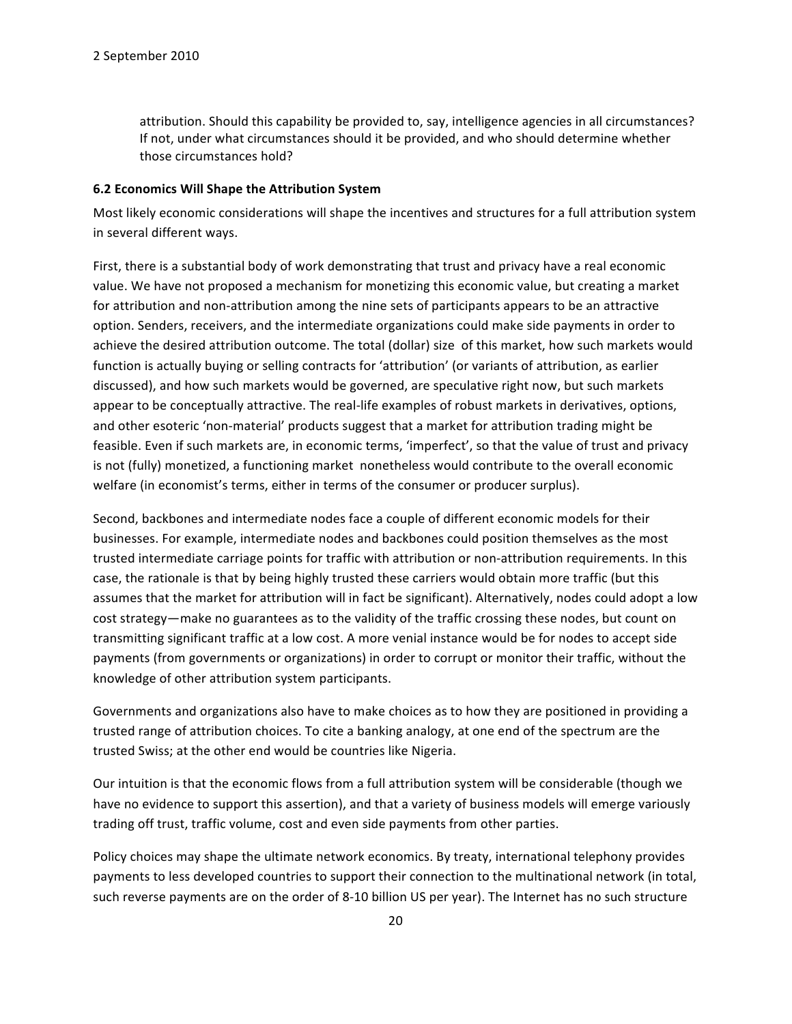attribution. Should this capability be provided to, say, intelligence agencies in all circumstances? If not, under what circumstances should it be provided, and who should determine whether those circumstances hold?

#### **6.2 Economics Will Shape the Attribution System**

Most likely economic considerations will shape the incentives and structures for a full attribution system in several different ways.

First, there is a substantial body of work demonstrating that trust and privacy have a real economic value. We have not proposed a mechanism for monetizing this economic value, but creating a market for attribution and non-attribution among the nine sets of participants appears to be an attractive option. Senders, receivers, and the intermediate organizations could make side payments in order to achieve the desired attribution outcome. The total (dollar) size of this market, how such markets would function is actually buying or selling contracts for 'attribution' (or variants of attribution, as earlier discussed), and how such markets would be governed, are speculative right now, but such markets appear to be conceptually attractive. The real-life examples of robust markets in derivatives, options, and other esoteric 'non-material' products suggest that a market for attribution trading might be feasible. Even if such markets are, in economic terms, 'imperfect', so that the value of trust and privacy is not (fully) monetized, a functioning market nonetheless would contribute to the overall economic welfare (in economist's terms, either in terms of the consumer or producer surplus).

Second, backbones and intermediate nodes face a couple of different economic models for their businesses. For example, intermediate nodes and backbones could position themselves as the most trusted intermediate carriage points for traffic with attribution or non-attribution requirements. In this case, the rationale is that by being highly trusted these carriers would obtain more traffic (but this assumes that the market for attribution will in fact be significant). Alternatively, nodes could adopt a low cost strategy—make no guarantees as to the validity of the traffic crossing these nodes, but count on transmitting significant traffic at a low cost. A more venial instance would be for nodes to accept side payments (from governments or organizations) in order to corrupt or monitor their traffic, without the knowledge of other attribution system participants.

Governments and organizations also have to make choices as to how they are positioned in providing a trusted range of attribution choices. To cite a banking analogy, at one end of the spectrum are the trusted Swiss; at the other end would be countries like Nigeria.

Our intuition is that the economic flows from a full attribution system will be considerable (though we have no evidence to support this assertion), and that a variety of business models will emerge variously trading off trust, traffic volume, cost and even side payments from other parties.

Policy choices may shape the ultimate network economics. By treaty, international telephony provides payments to less developed countries to support their connection to the multinational network (in total, such reverse payments are on the order of 8-10 billion US per year). The Internet has no such structure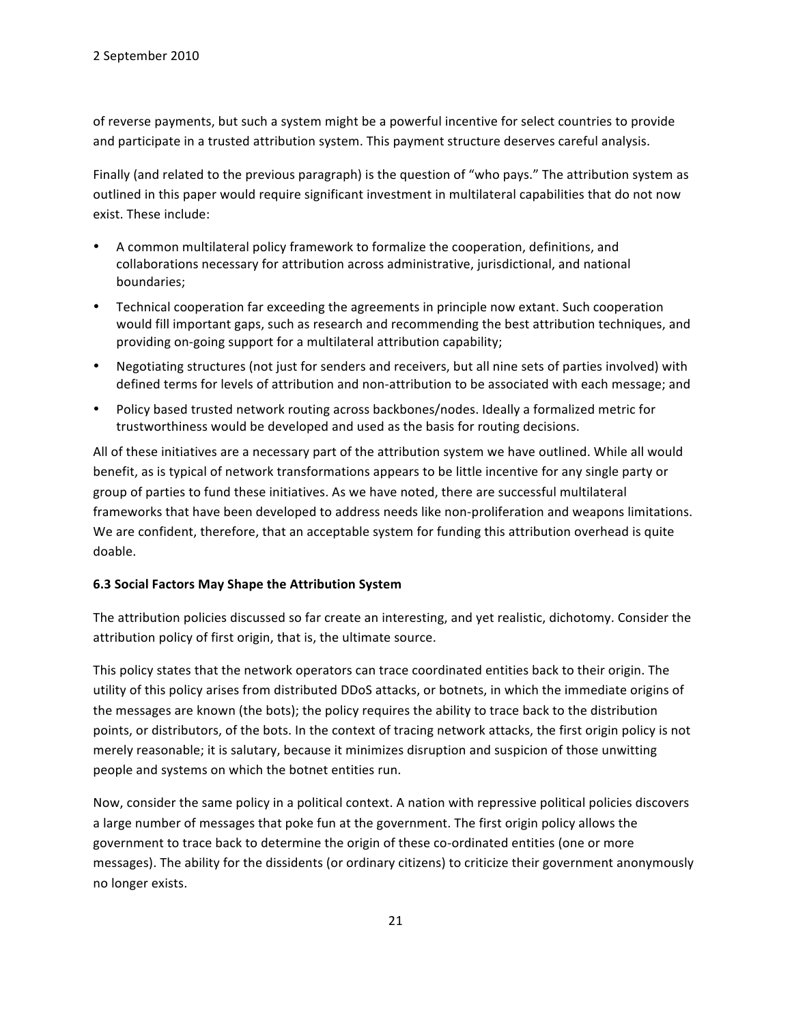of reverse payments, but such a system might be a powerful incentive for select countries to provide and participate in a trusted attribution system. This payment structure deserves careful analysis.

Finally (and related to the previous paragraph) is the question of "who pays." The attribution system as outlined in this paper would require significant investment in multilateral capabilities that do not now exist. These include:

- A common multilateral policy framework to formalize the cooperation, definitions, and collaborations necessary for attribution across administrative, jurisdictional, and national boundaries;
- Technical cooperation far exceeding the agreements in principle now extant. Such cooperation would fill important gaps, such as research and recommending the best attribution techniques, and providing on-going support for a multilateral attribution capability;
- Negotiating structures (not just for senders and receivers, but all nine sets of parties involved) with defined terms for levels of attribution and non-attribution to be associated with each message; and
- Policy based trusted network routing across backbones/nodes. Ideally a formalized metric for trustworthiness would be developed and used as the basis for routing decisions.

All of these initiatives are a necessary part of the attribution system we have outlined. While all would benefit, as is typical of network transformations appears to be little incentive for any single party or group of parties to fund these initiatives. As we have noted, there are successful multilateral frameworks that have been developed to address needs like non-proliferation and weapons limitations. We are confident, therefore, that an acceptable system for funding this attribution overhead is quite doable.

# **6.3 Social Factors May Shape the Attribution System**

The attribution policies discussed so far create an interesting, and yet realistic, dichotomy. Consider the attribution policy of first origin, that is, the ultimate source.

This policy states that the network operators can trace coordinated entities back to their origin. The utility of this policy arises from distributed DDoS attacks, or botnets, in which the immediate origins of the messages are known (the bots); the policy requires the ability to trace back to the distribution points, or distributors, of the bots. In the context of tracing network attacks, the first origin policy is not merely reasonable; it is salutary, because it minimizes disruption and suspicion of those unwitting people and systems on which the botnet entities run.

Now, consider the same policy in a political context. A nation with repressive political policies discovers a large number of messages that poke fun at the government. The first origin policy allows the government to trace back to determine the origin of these co-ordinated entities (one or more messages). The ability for the dissidents (or ordinary citizens) to criticize their government anonymously no longer exists.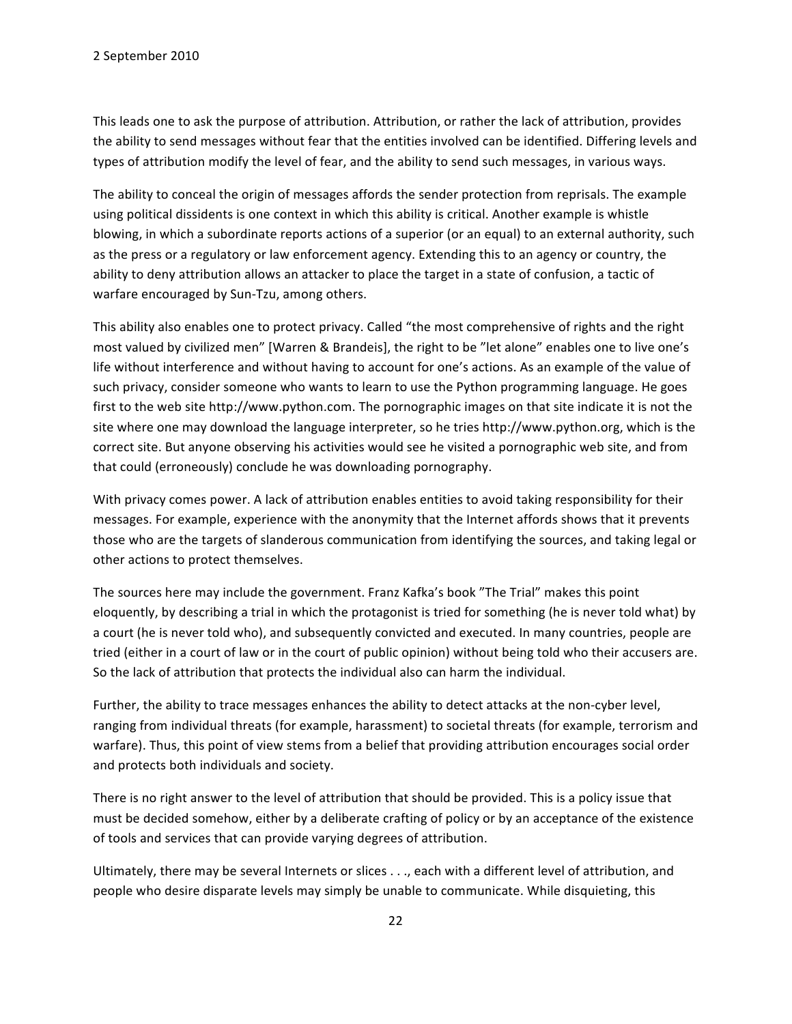This leads one to ask the purpose of attribution. Attribution, or rather the lack of attribution, provides the ability to send messages without fear that the entities involved can be identified. Differing levels and types of attribution modify the level of fear, and the ability to send such messages, in various ways.

The ability to conceal the origin of messages affords the sender protection from reprisals. The example using political dissidents is one context in which this ability is critical. Another example is whistle blowing, in which a subordinate reports actions of a superior (or an equal) to an external authority, such as the press or a regulatory or law enforcement agency. Extending this to an agency or country, the ability to deny attribution allows an attacker to place the target in a state of confusion, a tactic of warfare encouraged by Sun-Tzu, among others.

This ability also enables one to protect privacy. Called "the most comprehensive of rights and the right most valued by civilized men" [Warren & Brandeis], the right to be "let alone" enables one to live one's life without interference and without having to account for one's actions. As an example of the value of such privacy, consider someone who wants to learn to use the Python programming language. He goes first to the web site http://www.python.com. The pornographic images on that site indicate it is not the site where one may download the language interpreter, so he tries http://www.python.org, which is the correct site. But anyone observing his activities would see he visited a pornographic web site, and from that could (erroneously) conclude he was downloading pornography.

With privacy comes power. A lack of attribution enables entities to avoid taking responsibility for their messages. For example, experience with the anonymity that the Internet affords shows that it prevents those who are the targets of slanderous communication from identifying the sources, and taking legal or other actions to protect themselves.

The sources here may include the government. Franz Kafka's book "The Trial" makes this point eloquently, by describing a trial in which the protagonist is tried for something (he is never told what) by a court (he is never told who), and subsequently convicted and executed. In many countries, people are tried (either in a court of law or in the court of public opinion) without being told who their accusers are. So the lack of attribution that protects the individual also can harm the individual.

Further, the ability to trace messages enhances the ability to detect attacks at the non-cyber level, ranging from individual threats (for example, harassment) to societal threats (for example, terrorism and warfare). Thus, this point of view stems from a belief that providing attribution encourages social order and protects both individuals and society.

There is no right answer to the level of attribution that should be provided. This is a policy issue that must be decided somehow, either by a deliberate crafting of policy or by an acceptance of the existence of tools and services that can provide varying degrees of attribution.

Ultimately, there may be several Internets or slices . . ., each with a different level of attribution, and people who desire disparate levels may simply be unable to communicate. While disquieting, this